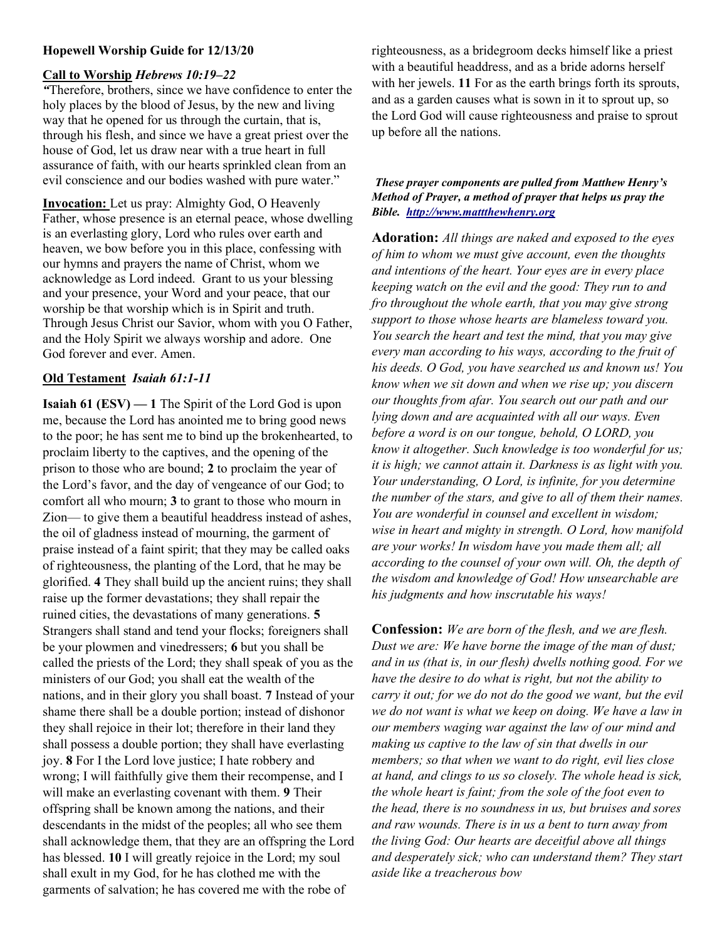## Hopewell Worship Guide for 12/13/20

## Call to Worship Hebrews 10:19–22

"Therefore, brothers, since we have confidence to enter the holy places by the blood of Jesus, by the new and living way that he opened for us through the curtain, that is, through his flesh, and since we have a great priest over the house of God, let us draw near with a true heart in full assurance of faith, with our hearts sprinkled clean from an evil conscience and our bodies washed with pure water."

Invocation: Let us pray: Almighty God, O Heavenly Father, whose presence is an eternal peace, whose dwelling is an everlasting glory, Lord who rules over earth and heaven, we bow before you in this place, confessing with our hymns and prayers the name of Christ, whom we acknowledge as Lord indeed. Grant to us your blessing and your presence, your Word and your peace, that our worship be that worship which is in Spirit and truth. Through Jesus Christ our Savior, whom with you O Father, and the Holy Spirit we always worship and adore. One God forever and ever. Amen.

# Old Testament Isaiah 61:1-11

Isaiah 61 (ESV) — 1 The Spirit of the Lord God is upon me, because the Lord has anointed me to bring good news to the poor; he has sent me to bind up the brokenhearted, to proclaim liberty to the captives, and the opening of the prison to those who are bound; 2 to proclaim the year of the Lord's favor, and the day of vengeance of our God; to comfort all who mourn; 3 to grant to those who mourn in Zion— to give them a beautiful headdress instead of ashes, the oil of gladness instead of mourning, the garment of praise instead of a faint spirit; that they may be called oaks of righteousness, the planting of the Lord, that he may be glorified. 4 They shall build up the ancient ruins; they shall raise up the former devastations; they shall repair the ruined cities, the devastations of many generations. 5 Strangers shall stand and tend your flocks; foreigners shall be your plowmen and vinedressers; 6 but you shall be called the priests of the Lord; they shall speak of you as the ministers of our God; you shall eat the wealth of the nations, and in their glory you shall boast. 7 Instead of your shame there shall be a double portion; instead of dishonor they shall rejoice in their lot; therefore in their land they shall possess a double portion; they shall have everlasting joy. 8 For I the Lord love justice; I hate robbery and wrong; I will faithfully give them their recompense, and I will make an everlasting covenant with them. 9 Their offspring shall be known among the nations, and their descendants in the midst of the peoples; all who see them shall acknowledge them, that they are an offspring the Lord has blessed. 10 I will greatly rejoice in the Lord; my soul shall exult in my God, for he has clothed me with the garments of salvation; he has covered me with the robe of

righteousness, as a bridegroom decks himself like a priest with a beautiful headdress, and as a bride adorns herself with her jewels. 11 For as the earth brings forth its sprouts, and as a garden causes what is sown in it to sprout up, so the Lord God will cause righteousness and praise to sprout up before all the nations.

#### These prayer components are pulled from Matthew Henry's Method of Prayer, a method of prayer that helps us pray the Bible. http://www.mattthewhenry.org

Adoration: All things are naked and exposed to the eyes of him to whom we must give account, even the thoughts and intentions of the heart. Your eyes are in every place keeping watch on the evil and the good: They run to and fro throughout the whole earth, that you may give strong support to those whose hearts are blameless toward you. You search the heart and test the mind, that you may give every man according to his ways, according to the fruit of his deeds. O God, you have searched us and known us! You know when we sit down and when we rise up; you discern our thoughts from afar. You search out our path and our lying down and are acquainted with all our ways. Even before a word is on our tongue, behold, O LORD, you know it altogether. Such knowledge is too wonderful for us; it is high; we cannot attain it. Darkness is as light with you. Your understanding, O Lord, is infinite, for you determine the number of the stars, and give to all of them their names. You are wonderful in counsel and excellent in wisdom; wise in heart and mighty in strength. O Lord, how manifold are your works! In wisdom have you made them all; all according to the counsel of your own will. Oh, the depth of the wisdom and knowledge of God! How unsearchable are his judgments and how inscrutable his ways!

Confession: We are born of the flesh, and we are flesh. Dust we are: We have borne the image of the man of dust; and in us (that is, in our flesh) dwells nothing good. For we have the desire to do what is right, but not the ability to carry it out; for we do not do the good we want, but the evil we do not want is what we keep on doing. We have a law in our members waging war against the law of our mind and making us captive to the law of sin that dwells in our members; so that when we want to do right, evil lies close at hand, and clings to us so closely. The whole head is sick, the whole heart is faint; from the sole of the foot even to the head, there is no soundness in us, but bruises and sores and raw wounds. There is in us a bent to turn away from the living God: Our hearts are deceitful above all things and desperately sick; who can understand them? They start aside like a treacherous bow